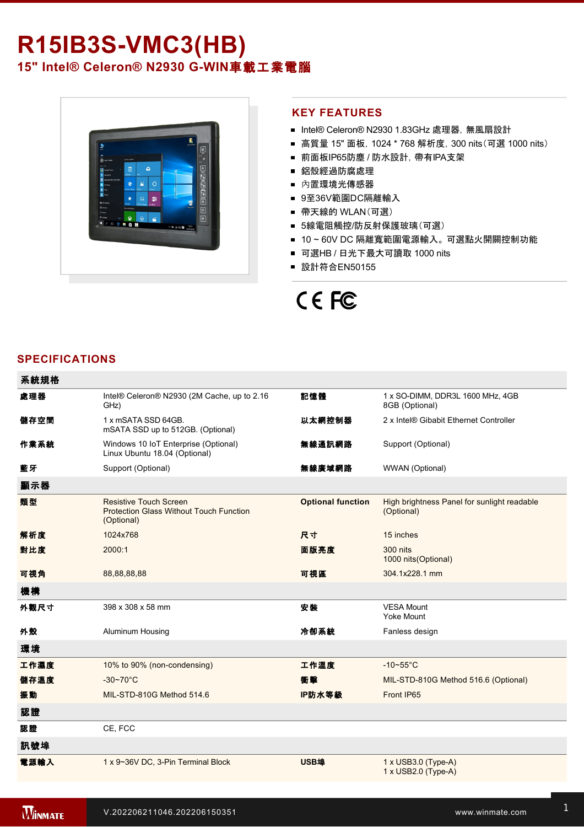## **R15IB3S-VMC3(HB)**

15" Intel® Celeron® N2930 G-WIN車載工業電腦



#### **KEY FEATURES**

- Intel® Celeron® N2930 1.83GHz 處理器, 無風扇設計
- 高質量 15" 面板, 1024 \* 768 解析度, 300 nits(可選 1000 nits)
- 前面板IP65防塵 / 防水設計, 帶有IPA支架
- 鋁殼經過防腐處理
- 內置環境光傳感器
- 9至36V範圍DC隔離輸入
- 帶天線的 WLAN(可選)
- 5線電阻觸控/防反射保護玻璃(可選)
- 10~60V DC 隔離寬範圍電源輸入。 可選點火開關控制功能
- 可選HB / 日光下最大可讀取 1000 nits
- 設計符合EN50155

# CE FC

### **SPECIFICATIONS**

| 系統規格 |                                                                                               |                          |                                                           |
|------|-----------------------------------------------------------------------------------------------|--------------------------|-----------------------------------------------------------|
| 處理器  | Intel® Celeron® N2930 (2M Cache, up to 2.16<br>GHz)                                           | 記憶體                      | 1 x SO-DIMM, DDR3L 1600 MHz, 4GB<br>8GB (Optional)        |
| 儲存空間 | 1 x mSATA SSD 64GB.<br>mSATA SSD up to 512GB. (Optional)                                      | 以太網控制器                   | 2 x Intel® Gibabit Ethernet Controller                    |
| 作業系統 | Windows 10 IoT Enterprise (Optional)<br>Linux Ubuntu 18.04 (Optional)                         | 無線通訊網路                   | Support (Optional)                                        |
| 藍牙   | Support (Optional)                                                                            | 無線廣域網路                   | WWAN (Optional)                                           |
| 顯示器  |                                                                                               |                          |                                                           |
| 類型   | <b>Resistive Touch Screen</b><br><b>Protection Glass Without Touch Function</b><br>(Optional) | <b>Optional function</b> | High brightness Panel for sunlight readable<br>(Optional) |
| 解析度  | 1024x768                                                                                      | 尺寸                       | 15 inches                                                 |
| 對比度  | 2000:1                                                                                        | 面版亮度                     | 300 nits<br>1000 nits (Optional)                          |
| 可視角  | 88,88,88,88                                                                                   | 可視區                      | 304.1x228.1 mm                                            |
| 機構   |                                                                                               |                          |                                                           |
| 外觀尺寸 | 398 x 308 x 58 mm                                                                             | 安装                       | <b>VESA Mount</b><br><b>Yoke Mount</b>                    |
| 外殼   | Aluminum Housing                                                                              | 冷卻系統                     | Fanless design                                            |
| 環境   |                                                                                               |                          |                                                           |
| 工作濕度 | 10% to 90% (non-condensing)                                                                   | 工作溫度                     | $-10-55$ °C                                               |
| 儲存溫度 | $-30-70$ °C                                                                                   | 衝擊                       | MIL-STD-810G Method 516.6 (Optional)                      |
| 振動   | MIL-STD-810G Method 514.6                                                                     | IP防水等級                   | Front IP65                                                |
| 認證   |                                                                                               |                          |                                                           |
| 認證   | CE, FCC                                                                                       |                          |                                                           |
| 訊號埠  |                                                                                               |                          |                                                           |
| 電源輸入 | 1 x 9~36V DC, 3-Pin Terminal Block                                                            | <b>USB埠</b>              | $1 \times$ USB3.0 (Type-A)<br>1 x USB2.0 (Type-A)         |

1 x RS232

數位輸入**/**輸出 Terminal block with digital 4 in / 4 out